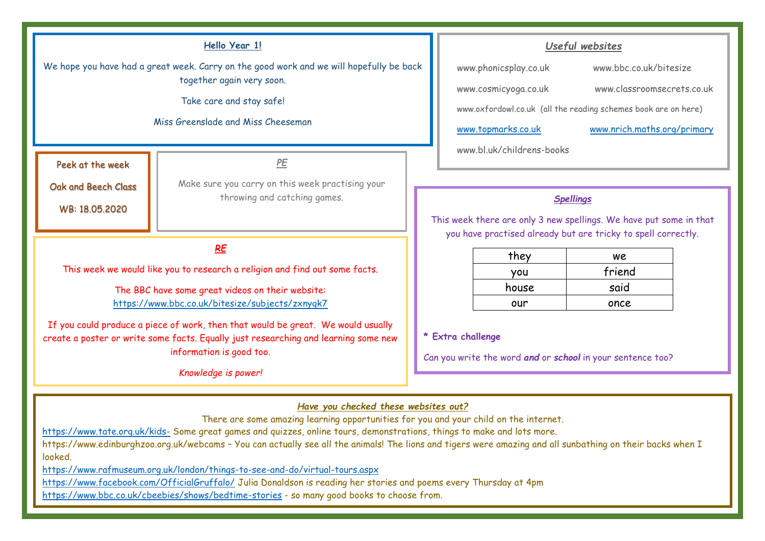#### **Hello Year 1!**

We hope you have had a great week. Carry on the good work and we will hopefully be back together again very soon.

Take care and stay safe!

Miss Greenslade and Miss Cheeseman

Peek at the week

WB: 18.05.2020

Oak and Beech Class

Make sure you carry on this week practising your throwing and catching games.

*PE*

## *RE*

This week we would like you to research a religion and find out some facts.

The BBC have some great videos on their website: <https://www.bbc.co.uk/bitesize/subjects/zxnygk7>

If you could produce a piece of work, then that would be great. We would usually create a poster or write some facts. Equally just researching and learning some new information is good too.

*Knowledge is power!* 

### *Useful websites*

| www.phonicsplay.co.uk                                          | www.bbc.co.uk/bitesize      |  |
|----------------------------------------------------------------|-----------------------------|--|
| www.cosmicyoga.co.uk                                           | www.classroomsecrets.co.uk  |  |
| www.oxfordowl.co.uk (all the reading schemes book are on here) |                             |  |
| www.topmarks.co.uk                                             | www.nrich.maths.org/primary |  |
| www.bl.uk/childrens-books                                      |                             |  |

#### *Spellings*

This week there are only 3 new spellings. We have put some in that you have practised already but are tricky to spell correctly.

| they  | we     |
|-------|--------|
| you   | friend |
| house | said   |
| our   | once   |

**\* Extra challenge**

Can you write the word *and* or *school* in your sentence too?

## *Have you checked these websites out?*

There are some amazing learning opportunities for you and your child on the internet.

<https://www.tate.org.uk/kids-> Some great games and quizzes, online tours, demonstrations, things to make and lots more.

https://www.edinburghzoo.org.uk/webcams - You can actually see all the animals! The lions and tigers were amazing and all sunbathing on their backs when I looked.

<https://www.rafmuseum.org.uk/london/things-to-see-and-do/virtual-tours.aspx>

<https://www.facebook.com/OfficialGruffalo/> Julia Donaldson is reading her stories and poems every Thursday at 4pm

<https://www.bbc.co.uk/cbeebies/shows/bedtime-stories> - so many good books to choose from.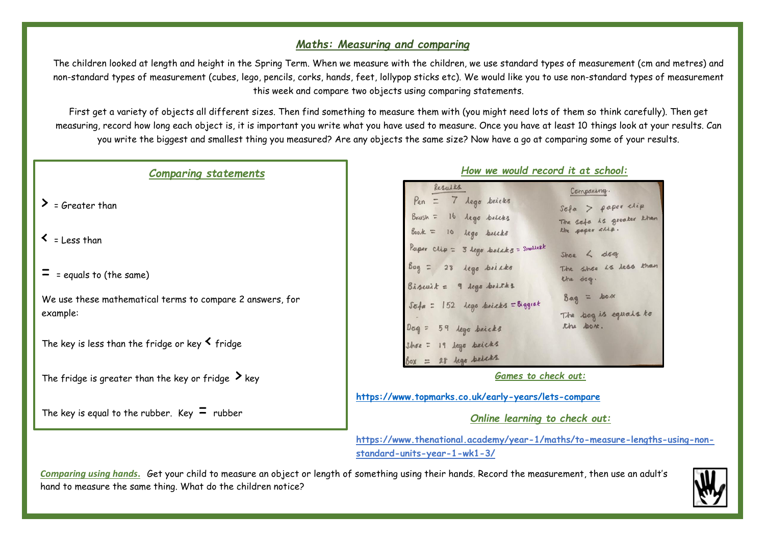## *Maths: Measuring and comparing*

The children looked at length and height in the Spring Term. When we measure with the children, we use standard types of measurement (cm and metres) and non-standard types of measurement (cubes, lego, pencils, corks, hands, feet, lollypop sticks etc). We would like you to use non-standard types of measurement this week and compare two objects using comparing statements.

First get a variety of objects all different sizes. Then find something to measure them with (you might need lots of them so think carefully). Then get measuring, record how long each object is, it is important you write what you have used to measure. Once you have at least 10 things look at your results. Can you write the biggest and smallest thing you measured? Are any objects the same size? Now have a go at comparing some of your results.

## *Comparing statements*

- $\sum$  = Greater than
- $\zeta$  = Less than
- $=$  = equals to (the same)

We use these mathematical terms to compare 2 answers, for example:

The key is less than the fridge or key  $\leq$  fridge

The fridge is greater than the key or fridge  $\lambda$  key

The key is equal to the rubber. Key  $\Xi$  rubber

| Results                                  | Comparing.               |
|------------------------------------------|--------------------------|
| Pen = 7 lego bricks                      | $Sofa$ > paper elip      |
| Brush = 16 lego bricks                   | The sofa is greater khan |
| $Book = 10 10$ $100 100$                 | the saper chip.          |
| Paper $chip = 3 lego brikaks = Smolkesk$ | $Shoe$ $\prec$ $deeg$    |
| Bag = 28 lego bricks                     | The shoe is less than    |
| $Biskuik = 9$ legs britks                | the dag.                 |
| Sofa = 152 lego brieks = Biggest         | $Baq = hox$              |
|                                          | The bag is equals to     |
| $Dog = 59$ legs bricks                   | the box.                 |
| Shoe = 19 Lego bricks                    |                          |
| $\delta$ ox = 28 legs brieks             |                          |

*How we would record it at school:*

*Games to check out:*

**<https://www.topmarks.co.uk/early-years/lets-compare>**

*Online learning to check out:*

**https://www.thenational.academy/year-1/maths/to-measure-lengths-using-nonstandard-units-year-1-wk1-3/**

*Comparing using hands***.** Get your child to measure an object or length of something using their hands. Record the measurement, then use an adult's hand to measure the same thing. What do the children notice?